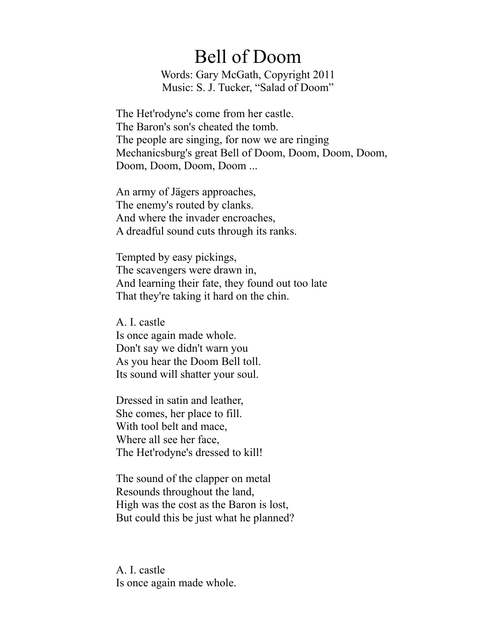## Bell of Doom

Words: Gary McGath, Copyright 2011 Music: S. J. Tucker, "Salad of Doom"

The Het'rodyne's come from her castle. The Baron's son's cheated the tomb. The people are singing, for now we are ringing Mechanicsburg's great Bell of Doom, Doom, Doom, Doom, Doom, Doom, Doom, Doom ...

An army of Jägers approaches, The enemy's routed by clanks. And where the invader encroaches, A dreadful sound cuts through its ranks.

Tempted by easy pickings, The scavengers were drawn in, And learning their fate, they found out too late That they're taking it hard on the chin.

A. I. castle Is once again made whole. Don't say we didn't warn you As you hear the Doom Bell toll. Its sound will shatter your soul.

Dressed in satin and leather, She comes, her place to fill. With tool belt and mace, Where all see her face, The Het'rodyne's dressed to kill!

The sound of the clapper on metal Resounds throughout the land, High was the cost as the Baron is lost, But could this be just what he planned?

A. I. castle Is once again made whole.